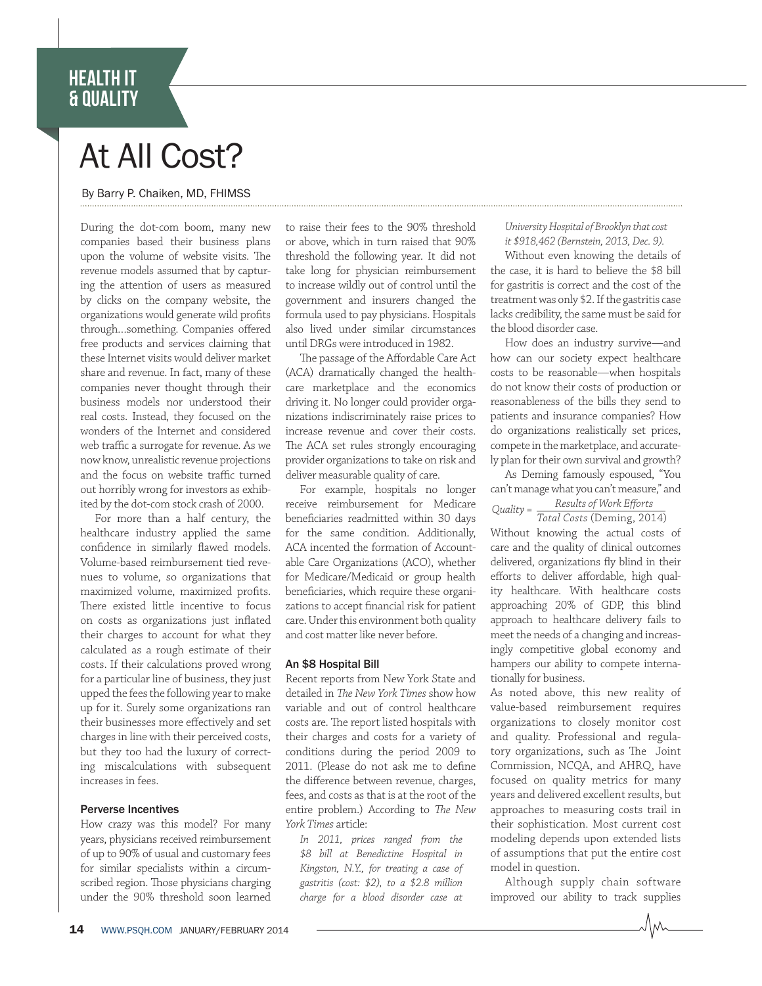# HEALTH IT & QUALITY

# At All Cost?

## By Barry P. Chaiken, MD, FHIMSS

During the dot-com boom, many new companies based their business plans upon the volume of website visits. The revenue models assumed that by capturing the attention of users as measured by clicks on the company website, the organizations would generate wild profits through…something. Companies offered free products and services claiming that these Internet visits would deliver market share and revenue. In fact, many of these companies never thought through their business models nor understood their real costs. Instead, they focused on the wonders of the Internet and considered web traffic a surrogate for revenue. As we now know, unrealistic revenue projections and the focus on website traffic turned out horribly wrong for investors as exhibited by the dot-com stock crash of 2000.

For more than a half century, the healthcare industry applied the same confidence in similarly flawed models. Volume-based reimbursement tied revenues to volume, so organizations that maximized volume, maximized profits. There existed little incentive to focus on costs as organizations just inflated their charges to account for what they calculated as a rough estimate of their costs. If their calculations proved wrong for a particular line of business, they just upped the fees the following year to make up for it. Surely some organizations ran their businesses more effectively and set charges in line with their perceived costs, but they too had the luxury of correcting miscalculations with subsequent increases in fees.

### Perverse Incentives

How crazy was this model? For many years, physicians received reimbursement of up to 90% of usual and customary fees for similar specialists within a circumscribed region. Those physicians charging under the 90% threshold soon learned

to raise their fees to the 90% threshold or above, which in turn raised that 90% threshold the following year. It did not take long for physician reimbursement to increase wildly out of control until the government and insurers changed the formula used to pay physicians. Hospitals also lived under similar circumstances until DRGs were introduced in 1982.

The passage of the Affordable Care Act (ACA) dramatically changed the healthcare marketplace and the economics driving it. No longer could provider organizations indiscriminately raise prices to increase revenue and cover their costs. The ACA set rules strongly encouraging provider organizations to take on risk and deliver measurable quality of care.

For example, hospitals no longer receive reimbursement for Medicare beneficiaries readmitted within 30 days for the same condition. Additionally, ACA incented the formation of Accountable Care Organizations (ACO), whether for Medicare/Medicaid or group health beneficiaries, which require these organizations to accept financial risk for patient care. Under this environment both quality and cost matter like never before.

#### An \$8 Hospital Bill

Recent reports from New York State and detailed in The New York Times show how variable and out of control healthcare costs are. The report listed hospitals with their charges and costs for a variety of conditions during the period 2009 to 2011. (Please do not ask me to define the difference between revenue, charges, fees, and costs as that is at the root of the entire problem.) According to The New York Times article:

In 2011, prices ranged from the \$8 bill at Benedictine Hospital in Kingston, N.Y., for treating a case of gastritis (cost: \$2), to a \$2.8 million charge for a blood disorder case at

#### University Hospital of Brooklyn that cost it \$918,462 (Bernstein, 2013, Dec. 9).

Without even knowing the details of the case, it is hard to believe the \$8 bill for gastritis is correct and the cost of the treatment was only \$2. If the gastritis case lacks credibility, the same must be said for the blood disorder case.

How does an industry survive—and how can our society expect healthcare costs to be reasonable—when hospitals do not know their costs of production or reasonableness of the bills they send to patients and insurance companies? How do organizations realistically set prices, compete in the marketplace, and accurately plan for their own survival and growth?

As Deming famously espoused, "You can't manage what you can't measure," and Results of Work Efforts  $Quality =$ 

 Total Costs (Deming, 2014) Without knowing the actual costs of care and the quality of clinical outcomes delivered, organizations fly blind in their efforts to deliver affordable, high quality healthcare. With healthcare costs approaching 20% of GDP, this blind approach to healthcare delivery fails to meet the needs of a changing and increasingly competitive global economy and hampers our ability to compete internationally for business.

As noted above, this new reality of value-based reimbursement requires organizations to closely monitor cost and quality. Professional and regulatory organizations, such as The Joint Commission, NCQA, and AHRQ, have focused on quality metrics for many years and delivered excellent results, but approaches to measuring costs trail in their sophistication. Most current cost modeling depends upon extended lists of assumptions that put the entire cost model in question.

Although supply chain software improved our ability to track supplies

JM